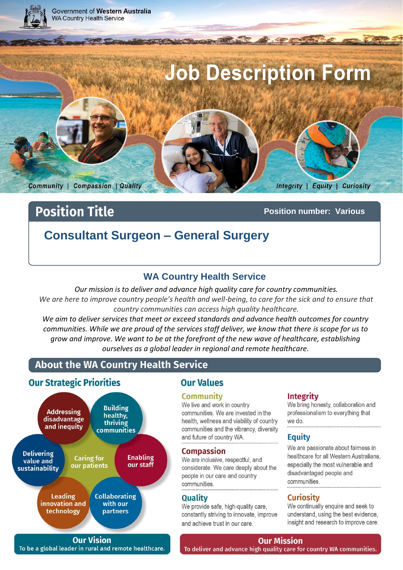

# **Position Title**

**Position number: Various**

# **Consultant Surgeon – General Surgery**

# **WA Country Health Service**

*Our mission is to deliver and advance high quality care for country communities.*  We are here to improve country people's health and well-being, to care for the sick and to ensure that *country communities can access high quality healthcare.*

*We aim to deliver services that meet or exceed standards and advance health outcomes for country communities. While we are proud of the services staff deliver, we know that there is scope for us to grow and improve. We want to be at the forefront of the new wave of healthcare, establishing ourselves as a global leader in regional and remote healthcare.*

# About the WA Country Health Service

### **Our Strategic Priorities**



# **Our Values**

#### **Community**

We live and work in country communities. We are invested in the health, wellness and viability of country communities and the vibrancy, diversity and future of country WA.

#### **Compassion**

We are inclusive, respectful, and considerate. We care deeply about the people in our care and country communities.

#### **Quality**

We provide safe, high-quality care, constantly striving to innovate, improve and achieve trust in our care.

#### **Integrity**

We bring honesty, collaboration and professionalism to everything that we do.

#### **Equity**

We are passionate about fairness in healthcare for all Western Australians. especially the most vulnerable and disadvantaged people and communities

### **Curiosity**

We continually enquire and seek to understand, using the best evidence, insight and research to improve care.

**Our Vision** To be a global leader in rural and remote healthcare.

# **Our Mission**

Page 1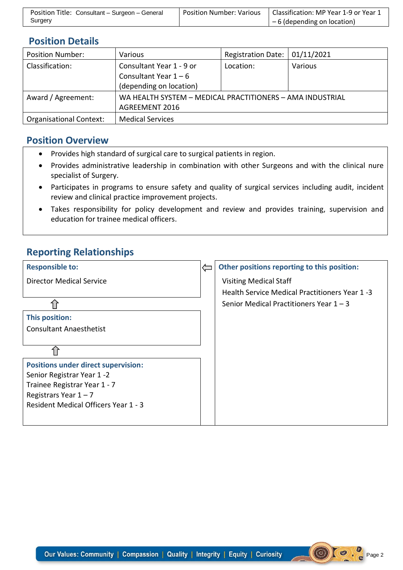| Position Title: Consultant - Surgeon - General | <b>Position Number: Various</b> | Classification: MP Year 1-9 or Year 1 |
|------------------------------------------------|---------------------------------|---------------------------------------|
| Surgery                                        |                                 | $-6$ (depending on location)          |

# **Position Details**

| <b>Position Number:</b>        | Various                                                   | <b>Registration Date:</b> | 01/11/2021 |
|--------------------------------|-----------------------------------------------------------|---------------------------|------------|
| Classification:                | Consultant Year 1 - 9 or                                  | Location:                 | Various    |
|                                | Consultant Year $1 - 6$                                   |                           |            |
|                                | (depending on location)                                   |                           |            |
| Award / Agreement:             | WA HEALTH SYSTEM - MEDICAL PRACTITIONERS - AMA INDUSTRIAL |                           |            |
|                                | <b>AGREEMENT 2016</b>                                     |                           |            |
| <b>Organisational Context:</b> | <b>Medical Services</b>                                   |                           |            |

### **Position Overview**

- Provides high standard of surgical care to surgical patients in region.
- Provides administrative leadership in combination with other Surgeons and with the clinical nure specialist of Surgery.
- Participates in programs to ensure safety and quality of surgical services including audit, incident review and clinical practice improvement projects.
- Takes responsibility for policy development and review and provides training, supervision and education for trainee medical officers.

# **Reporting Relationships**

| <b>Responsible to:</b>                      | Other positions reporting to this position:    |
|---------------------------------------------|------------------------------------------------|
| <b>Director Medical Service</b>             | <b>Visiting Medical Staff</b>                  |
|                                             | Health Service Medical Practitioners Year 1 -3 |
|                                             | Senior Medical Practitioners Year $1 - 3$      |
| This position:                              |                                                |
| <b>Consultant Anaesthetist</b>              |                                                |
|                                             |                                                |
|                                             |                                                |
| <b>Positions under direct supervision:</b>  |                                                |
| Senior Registrar Year 1-2                   |                                                |
| Trainee Registrar Year 1 - 7                |                                                |
| Registrars Year $1 - 7$                     |                                                |
| <b>Resident Medical Officers Year 1 - 3</b> |                                                |
|                                             |                                                |

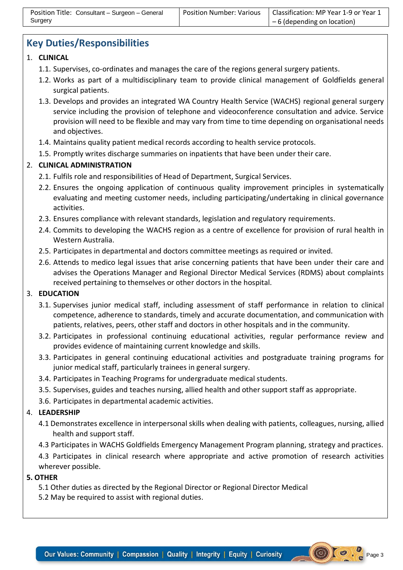# **Key Duties/Responsibilities**

#### 1. **CLINICAL**

- 1.1. Supervises, co-ordinates and manages the care of the regions general surgery patients.
- 1.2. Works as part of a multidisciplinary team to provide clinical management of Goldfields general surgical patients.
- 1.3. Develops and provides an integrated WA Country Health Service (WACHS) regional general surgery service including the provision of telephone and videoconference consultation and advice. Service provision will need to be flexible and may vary from time to time depending on organisational needs and objectives.
- 1.4. Maintains quality patient medical records according to health service protocols.
- 1.5. Promptly writes discharge summaries on inpatients that have been under their care.

### 2. **CLINICAL ADMINISTRATION**

- 2.1. Fulfils role and responsibilities of Head of Department, Surgical Services.
- 2.2. Ensures the ongoing application of continuous quality improvement principles in systematically evaluating and meeting customer needs, including participating/undertaking in clinical governance activities.
- 2.3. Ensures compliance with relevant standards, legislation and regulatory requirements.
- 2.4. Commits to developing the WACHS region as a centre of excellence for provision of rural health in Western Australia.
- 2.5. Participates in departmental and doctors committee meetings as required or invited.
- 2.6. Attends to medico legal issues that arise concerning patients that have been under their care and advises the Operations Manager and Regional Director Medical Services (RDMS) about complaints received pertaining to themselves or other doctors in the hospital.

### 3. **EDUCATION**

- 3.1. Supervises junior medical staff, including assessment of staff performance in relation to clinical competence, adherence to standards, timely and accurate documentation, and communication with patients, relatives, peers, other staff and doctors in other hospitals and in the community.
- 3.2. Participates in professional continuing educational activities, regular performance review and provides evidence of maintaining current knowledge and skills.
- 3.3. Participates in general continuing educational activities and postgraduate training programs for junior medical staff, particularly trainees in general surgery.
- 3.4. Participates in Teaching Programs for undergraduate medical students.
- 3.5. Supervises, guides and teaches nursing, allied health and other support staff as appropriate.
- 3.6. Participates in departmental academic activities.

### 4. **LEADERSHIP**

- 4.1 Demonstrates excellence in interpersonal skills when dealing with patients, colleagues, nursing, allied health and support staff.
- 4.3 Participates in WACHS Goldfields Emergency Management Program planning, strategy and practices.

4.3 Participates in clinical research where appropriate and active promotion of research activities wherever possible.

#### **5. OTHER**

- 5.1 Other duties as directed by the Regional Director or Regional Director Medical
- 5.2 May be required to assist with regional duties.